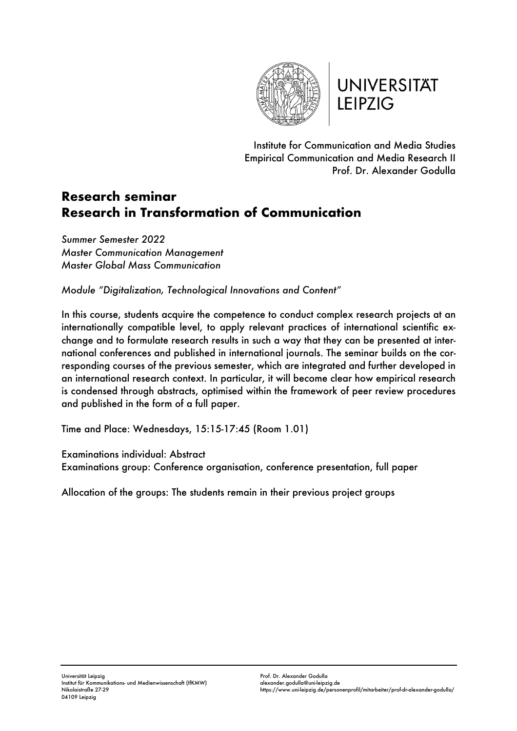

**UNIVERSITÄT LEIPZIG** 

Institute for Communication and Media Studies Empirical Communication and Media Research II Prof. Dr. Alexander Godulla

## **Research seminar Research in Transformation of Communication**

*Summer Semester 2022 Master Communication Management Master Global Mass Communication*

*Module "Digitalization, Technological Innovations and Content"*

In this course, students acquire the competence to conduct complex research projects at an internationally compatible level, to apply relevant practices of international scientific exchange and to formulate research results in such a way that they can be presented at international conferences and published in international journals. The seminar builds on the corresponding courses of the previous semester, which are integrated and further developed in an international research context. In particular, it will become clear how empirical research is condensed through abstracts, optimised within the framework of peer review procedures and published in the form of a full paper.

Time and Place: Wednesdays, 15:15-17:45 (Room 1.01)

Examinations individual: Abstract

Examinations group: Conference organisation, conference presentation, full paper

Allocation of the groups: The students remain in their previous project groups